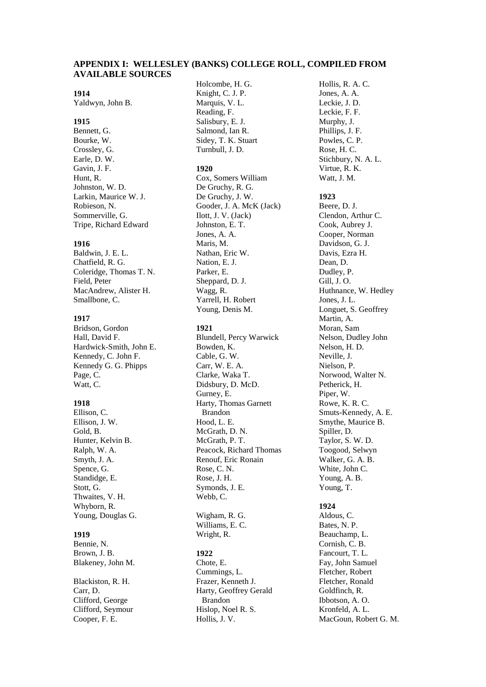# **APPENDIX I: WELLESLEY (BANKS) COLLEGE ROLL, COMPILED FROM AVAILABLE SOURCES**

# **1914**

Yaldwyn, John B.

# **1915**

Bennett, G. Bourke, W. Crossley, G. Earle, D. W. Gavin, J. F. Hunt, R. Johnston, W. D. Larkin, Maurice W. J. Robieson, N. Sommerville, G. Tripe, Richard Edward

# **1916**

Baldwin, J. E. L. Chatfield, R. G. Coleridge, Thomas T. N. Field, Peter MacAndrew, Alister H. Smallbone, C.

# **1917**

Bridson, Gordon Hall, David F. Hardwick-Smith, John E. Kennedy, C. John F. Kennedy G. G. Phipps Page, C. Watt, C.

# **1918**

Ellison, C. Ellison, J. W. Gold, B. Hunter, Kelvin B. Ralph, W. A. Smyth, J. A. Spence, G. Standidge, E. Stott, G. Thwaites, V. H. Whyborn, R. Young, Douglas G.

## **1919**

Bennie, N. Brown, J. B. Blakeney, John M.

Blackiston, R. H. Carr, D. Clifford, George Clifford, Seymour Cooper, F. E.

Holcombe, H. G. Knight, C. J. P. Marquis, V. L. Reading, F. Salisbury, E. J. Salmond, Ian R. Sidey, T. K. Stuart Turnbull, J. D.

# **1920**

Cox, Somers William De Gruchy, R. G. De Gruchy, J. W. Gooder, J. A. McK (Jack) Ilott, J. V. (Jack) Johnston, E. T. Jones, A. A. Maris, M. Nathan, Eric W. Nation, E. J. Parker, E. Sheppard, D. J. Wagg, R. Yarrell, H. Robert Young, Denis M.

# **1921**

Blundell, Percy Warwick Bowden, K. Cable, G. W. Carr, W. E. A. Clarke, Waka T. Didsbury, D. McD. Gurney, E. Harty, Thomas Garnett Brandon Hood, L. E. McGrath, D. N. McGrath, P. T. Peacock, Richard Thomas Renouf, Eric Ronain Rose, C. N. Rose, J. H. Symonds, J. E. Webb, C.

Wigham, R. G. Williams, E. C. Wright, R.

# **1922**

Chote, E. Cummings, L. Frazer, Kenneth J. Harty, Geoffrey Gerald Brandon Hislop, Noel R. S. Hollis, J. V.

Hollis, R. A. C. Jones, A. A. Leckie, J. D. Leckie, F. F. Murphy, J. Phillips, J. F. Powles, C. P. Rose, H. C. Stichbury, N. A. L. Virtue, R. K. Watt, J. M.

# **1923**

Beere, D. J. Clendon, Arthur C. Cook, Aubrey J. Cooper, Norman Davidson, G. J. Davis, Ezra H. Dean, D. Dudley, P. Gill, J. O. Huthnance, W. Hedley Jones, J. L. Longuet, S. Geoffrey Martin, A. Moran, Sam Nelson, Dudley John Nelson, H. D. Neville, J. Nielson, P. Norwood, Walter N. Petherick, H. Piper, W. Rowe, K. R. C. Smuts-Kennedy, A. E. Smythe, Maurice B. Spiller, D. Taylor, S. W. D. Toogood, Selwyn Walker, G. A. B. White, John C. Young, A. B. Young, T.

# **1924**

Aldous, C. Bates, N. P. Beauchamp, L. Cornish, C. B. Fancourt, T. L. Fay, John Samuel Fletcher, Robert Fletcher, Ronald Goldfinch, R. Ibbotson, A. O. Kronfeld, A. L. MacGoun, Robert G. M.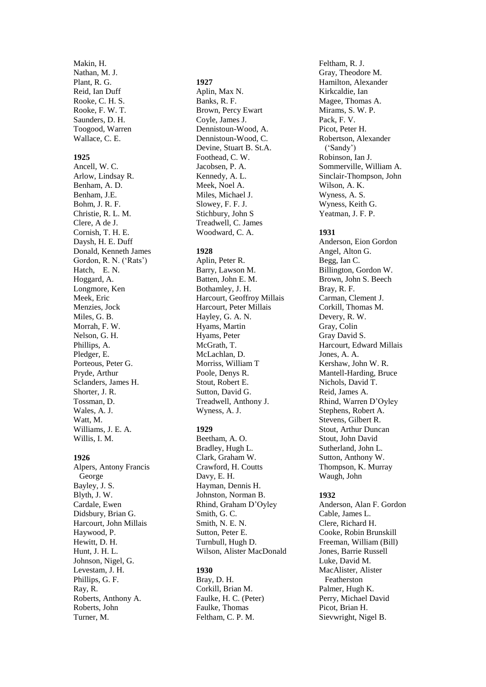Makin, H. Nathan, M. J. Plant, R. G. Reid, Ian Duff Rooke, C. H. S. Rooke, F. W. T. Saunders, D. H. Toogood, Warren Wallace, C. E.

### **1925**

Ancell, W. C. Arlow, Lindsay R. Benham, A. D. Benham, J.E. Bohm, J. R. F. Christie, R. L. M. Clere, A de J. Cornish, T. H. E. Daysh, H. E. Duff Donald, Kenneth James Gordon, R. N. ('Rats') Hatch, E. N. Hoggard, A. Longmore, Ken Meek, Eric Menzies, Jock Miles, G. B. Morrah, F. W. Nelson, G. H. Phillips, A. Pledger, E. Porteous, Peter G. Pryde, Arthur Sclanders, James H. Shorter, J. R. Tossman, D. Wales, A. J. Watt, M. Williams, J. E. A. Willis, I. M.

# **1926**

Alpers, Antony Francis George Bayley, J. S. Blyth, J. W. Cardale, Ewen Didsbury, Brian G. Harcourt, John Millais Haywood, P. Hewitt, D. H. Hunt, J. H. L. Johnson, Nigel, G. Levestam, J. H. Phillips, G. F. Ray, R. Roberts, Anthony A. Roberts, John Turner, M.

### **1927**

Aplin, Max N. Banks, R. F. Brown, Percy Ewart Coyle, James J. Dennistoun-Wood, A. Dennistoun-Wood, C. Devine, Stuart B. St.A. Foothead, C. W. Jacobsen, P. A. Kennedy, A. L. Meek, Noel A. Miles, Michael J. Slowey, F. F. J. Stichbury, John S Treadwell, C. James Woodward, C. A.

### **1928**

Aplin, Peter R. Barry, Lawson M. Batten, John E. M. Bothamley, J. H. Harcourt, Geoffroy Millais Harcourt, Peter Millais Hayley, G. A. N. Hyams, Martin Hyams, Peter McGrath, T. McLachlan, D. Morriss, William T Poole, Denys R. Stout, Robert E. Sutton, David G. Treadwell, Anthony J. Wyness, A. J.

# **1929**

Beetham, A. O. Bradley, Hugh L. Clark, Graham W. Crawford, H. Coutts Davy, E. H. Hayman, Dennis H. Johnston, Norman B. Rhind, Graham D'Oyley Smith, G. C. Smith, N. E. N. Sutton, Peter E. Turnbull, Hugh D. Wilson, Alister MacDonald

# **1930**

Bray, D. H. Corkill, Brian M. Faulke, H. C. (Peter) Faulke, Thomas Feltham, C. P. M.

Feltham, R. J. Gray, Theodore M. Hamilton, Alexander Kirkcaldie, Ian Magee, Thomas A. Mirams, S. W. P. Pack, F. V. Picot, Peter H. Robertson, Alexander ('Sandy') Robinson, Ian J. Sommerville, William A. Sinclair-Thompson, John Wilson, A. K. Wyness, A. S. Wyness, Keith G. Yeatman, J. F. P.

# **1931**

Anderson, Eion Gordon Angel, Alton G. Begg, Ian C. Billington, Gordon W. Brown, John S. Beech Bray, R. F. Carman, Clement J. Corkill, Thomas M. Devery, R. W. Gray, Colin Gray David S. Harcourt, Edward Millais Jones, A. A. Kershaw, John W. R. Mantell-Harding, Bruce Nichols, David T. Reid, James A. Rhind, Warren D'Oyley Stephens, Robert A. Stevens, Gilbert R. Stout, Arthur Duncan Stout, John David Sutherland, John L. Sutton, Anthony W. Thompson, K. Murray Waugh, John

### **1932**

Anderson, Alan F. Gordon Cable, James L. Clere, Richard H. Cooke, Robin Brunskill Freeman, William (Bill) Jones, Barrie Russell Luke, David M. MacAlister, Alister Featherston Palmer, Hugh K. Perry, Michael David Picot, Brian H. Sievwright, Nigel B.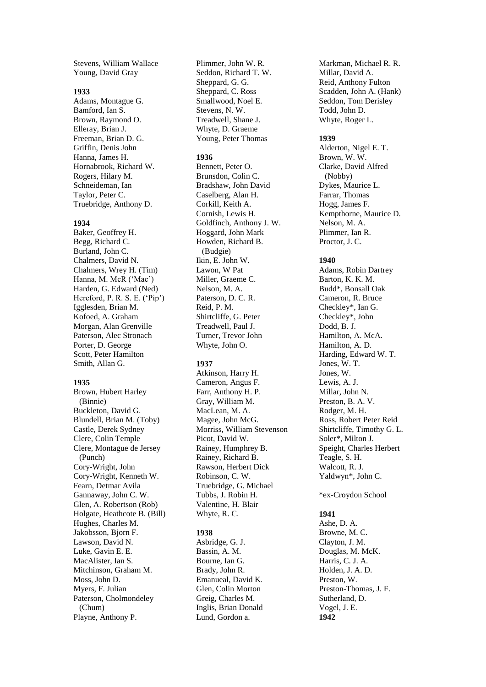Stevens, William Wallace Young, David Gray

#### **1933**

Adams, Montague G. Bamford, Ian S. Brown, Raymond O. Elleray, Brian J. Freeman, Brian D. G. Griffin, Denis John Hanna, James H. Hornabrook, Richard W. Rogers, Hilary M. Schneideman, Ian Taylor, Peter C. Truebridge, Anthony D.

#### **1934**

Baker, Geoffrey H. Begg, Richard C. Burland, John C. Chalmers, David N. Chalmers, Wrey H. (Tim) Hanna, M. McR ('Mac') Harden, G. Edward (Ned) Hereford, P. R. S. E. ('Pip') Igglesden, Brian M. Kofoed, A. Graham Morgan, Alan Grenville Paterson, Alec Stronach Porter, D. George Scott, Peter Hamilton Smith, Allan G.

### **1935**

Brown, Hubert Harley (Binnie) Buckleton, David G. Blundell, Brian M. (Toby) Castle, Derek Sydney Clere, Colin Temple Clere, Montague de Jersey (Punch) Cory-Wright, John Cory-Wright, Kenneth W. Fearn, Detmar Avila Gannaway, John C. W. Glen, A. Robertson (Rob) Holgate, Heathcote B. (Bill) Hughes, Charles M. Jakobsson, Bjorn F. Lawson, David N. Luke, Gavin E. E. MacAlister, Ian S. Mitchinson, Graham M. Moss, John D. Myers, F. Julian Paterson, Cholmondeley (Chum) Playne, Anthony P.

Plimmer, John W. R. Seddon, Richard T. W. Sheppard, G. G. Sheppard, C. Ross Smallwood, Noel E. Stevens, N. W. Treadwell, Shane J. Whyte, D. Graeme Young, Peter Thomas

## **1936**

Bennett, Peter O. Brunsdon, Colin C. Bradshaw, John David Caselberg, Alan H. Corkill, Keith A. Cornish, Lewis H. Goldfinch, Anthony J. W. Hoggard, John Mark Howden, Richard B. (Budgie) Ikin, E. John W. Lawon, W Pat Miller, Graeme C. Nelson, M. A. Paterson, D. C. R. Reid, P. M. Shirtcliffe, G. Peter Treadwell, Paul J. Turner, Trevor John Whyte, John O.

### **1937**

Atkinson, Harry H. Cameron, Angus F. Farr, Anthony H. P. Gray, William M. MacLean, M. A. Magee, John McG. Morriss, William Stevenson Picot, David W. Rainey, Humphrey B. Rainey, Richard B. Rawson, Herbert Dick Robinson, C. W. Truebridge, G. Michael Tubbs, J. Robin H. Valentine, H. Blair Whyte, R. C.

### **1938**

Asbridge, G. J. Bassin, A. M. Bourne, Ian G. Brady, John R. Emanueal, David K. Glen, Colin Morton Greig, Charles M. Inglis, Brian Donald Lund, Gordon a.

Markman, Michael R. R. Millar, David A. Reid, Anthony Fulton Scadden, John A. (Hank) Seddon, Tom Derisley Todd, John D. Whyte, Roger L.

### **1939**

Alderton, Nigel E. T. Brown, W. W. Clarke, David Alfred (Nobby) Dykes, Maurice L. Farrar, Thomas Hogg, James F. Kempthorne, Maurice D. Nelson, M. A. Plimmer, Ian R. Proctor, J. C.

### **1940**

Adams, Robin Dartrey Barton, K. K. M. Budd\*, Bonsall Oak Cameron, R. Bruce Checkley\*, Ian G. Checkley\*, John Dodd, B. J. Hamilton, A. McA. Hamilton, A. D. Harding, Edward W. T. Jones, W. T. Jones, W. Lewis, A. J. Millar, John N. Preston, B. A. V. Rodger, M. H. Ross, Robert Peter Reid Shirtcliffe, Timothy G. L. Soler\*, Milton J. Speight, Charles Herbert Teagle, S. H. Walcott, R. J. Yaldwyn\*, John C.

# \*ex-Croydon School

# **1941**

Ashe, D. A. Browne, M. C. Clayton, J. M. Douglas, M. McK. Harris, C. J. A. Holden, J. A. D. Preston, W. Preston-Thomas, J. F. Sutherland, D. Vogel, J. E. **1942**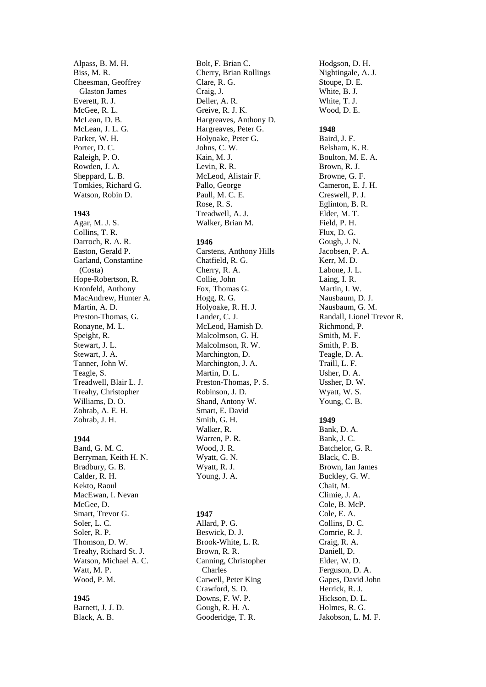Alpass, B. M. H. Biss, M. R. Cheesman, Geoffrey Glaston James Everett, R. J. McGee, R. L. McLean, D. B. McLean, J. L. G. Parker, W. H. Porter, D. C. Raleigh, P. O. Rowden, J. A. Sheppard, L. B. Tomkies, Richard G. Watson, Robin D.

#### **1943**

Agar, M. J. S. Collins, T. R. Darroch, R. A. R. Easton, Gerald P. Garland, Constantine (Costa) Hope -Robertson, R. Kronfeld, Anthony MacAndrew, Hunter A. Martin, A. D. Preston -Thomas, G. Ronayne, M. L. Speight, R. Stewart, J. L. Stewart, J. A. Tanner, John W. Teagle, S. Treadwell, Blair L. J. Treahy, Christopher Williams, D. O. Zohrab, A. E. H. Zohrab, J. H.

# **1944**

Band, G. M. C. Berryman, Keith H. N. Bradbury, G. B. Calder, R. H. Kekto, Raoul MacEwan, I. Nevan McGee, D. Smart, Trevor G. Soler, L. C. Soler, R. P. Thomson, D. W. Treahy, Richard St. J. Watson, Michael A. C. Watt, M. P. Wood, P. M.

# **1945**

Barnett, J. J. D. Black, A. B.

Bolt, F. Brian C. Cherry, Brian Rollings Clare, R. G. Craig, J. Deller, A. R. Greive, R. J. K. Hargreaves, Anthony D. Hargreaves, Peter G. Holyoake, Peter G. Johns, C. W. Kain, M. J. Levin, R. R. McLeod, Alistair F. Pallo, George Paull, M. C. E. Rose, R. S. Treadwell, A. J. Walker, Brian M.

### **1946**

Carstens, Anthony Hills Chatfield, R. G. Cherry, R. A. Collie, John Fox, Thomas G. Hogg, R. G. Holyoake, R. H. J. Lander, C. J. McLeod, Hamish D. Malcolmson, G. H. Malcolmson, R. W. Marchington, D. Marchington, J. A. Martin, D. L. Preston -Thomas, P. S. Robinson, J. D. Shand, Antony W. Smart, E. David Smith, G. H. Walker, R. Warren, P. R. Wood, J. R . Wyatt, G. N. Wyatt, R. J. Young, J. A.

# **1947**

Allard, P. G. Beswick, D. J. Brook -White, L. R. Brown, R. R. Canning, Christopher Charles Carwell, Peter King Crawford, S. D. Downs, F. W. P. Gough, R. H. A. Gooderidge, T. R.

Hodgson, D. H. Nightingale, A. J. Stoupe, D. E. White, B. J. White, T. J. Wood, D. E.

## **1948**

Baird, J. F. Belsham, K. R. Boulton, M. E. A. Brown, R. J. Browne, G. F. Cameron, E. J. H. Creswell, P. J. Eglinton, B. R. Elder, M. T. Field, P. H. Flux, D. G. Gough, J. N. Jacobsen, P. A. Kerr, M. D. Labone, J. L. Laing, I. R. Martin, I. W. Nausbaum, D. J. Nausbaum, G. M. Randall, Lionel Trevor R. Richmond, P. Smith, M. F. Smith, P. B. Teagle, D. A. Traill, L. F. Usher, D. A. Ussher, D. W. Wyatt, W. S. Young, C. B.

### **1949**

Bank, D. A. Bank, J. C. Batchelor, G. R. Black, C. B. Brown, Ian James Buckley, G. W. Chait, M. Climie, J. A. Cole, B. McP. Cole, E. A. Collins, D. C. Comrie, R. J. Craig, R. A. Daniell, D. Elder, W. D. Ferguson, D. A. Gapes, David John Herrick, R. J. Hickson, D. L. Holmes, R. G. Jakobson, L. M. F.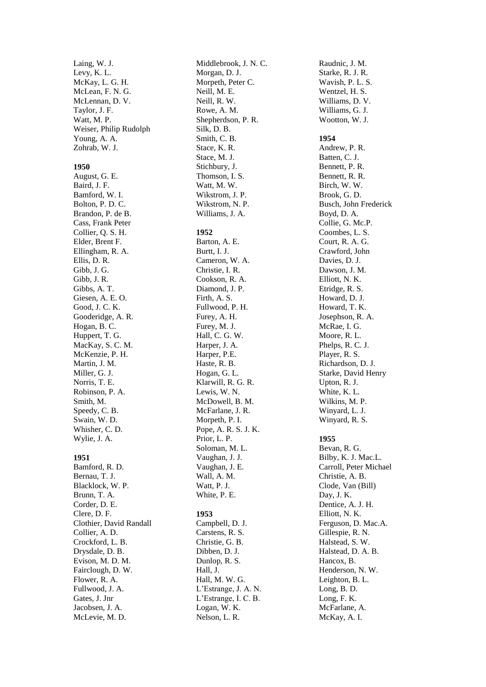Laing, W. J. Levy, K. L. McKay, L. G. H. McLean, F. N. G. McLennan, D. V. Taylor, J. F. Watt, M. P. Weiser, Philip Rudolph Young, A. A. Zohrab, W. J.

## **1950**

August, G. E. Baird, J. F. Bamford, W. I. Bolton, P. D. C. Brandon, P. de B. Cass, Frank Peter Collier, Q. S. H. Elder, Brent F. Ellingham, R. A. Ellis, D. R. Gibb, J. G. Gibb, J. R. Gibbs, A. T. Giesen, A. E. O. Good, J. C. K. Gooderidge, A. R. Hogan, B. C. Huppert, T. G. MacKay, S. C. M. McKenzie, P. H. Martin, J. M. Miller, G. J. Norris, T. E. Robinson, P. A. Smith, M. Speedy, C. B. Swain, W. D. Whisher, C. D. Wylie, J. A.

# **1951**

Bamford, R. D. Bernau, T. J. Blacklock, W. P. Brunn, T. A. Corder, D. E. Clere, D. F. Clothier, David Randall Collier, A. D. Crockford, L. B. Drysdale, D. B . Evison, M. D. M. Fairclough, D. W. Flower, R. A. Fullwood, J. A. Gates, J. Jnr Jacobsen, J. A. McLevie, M. D.

Middlebrook, J. N. C. Morgan, D. J. Morpeth, Peter C. Neill, M. E. Neill, R. W. Rowe, A. M. Shepherdson, P. R. Silk, D. B. Smith, C. B. Stace, K. R. Stace, M. J. Stichbury, J. Thomson, I. S. Watt, M. W. Wikstrom, J. P. Wikstrom, N. P. Williams, J. A. **1952** Barton, A. E. Burtt, I. J. Cameron, W. A. Christie, I. R. Cookson, R. A. Diamond, J. P. Firth, A. S. Fullwood, P. H. Furey, A. H. Furey, M. J. Hall, C. G. W. Harper, J. A. Harper, P.E. Haste, R. B. Hogan, G. L. Klarwill, R. G. R. Lewis, W. N. McDowell, B. M. McFarlane, J. R. Morpeth, P. I. Pope, A. R. S. J. K. Prior, L. P. Soloman, M. L. Vaughan, J. J. Vaughan, J. E. Wall, A. M. Watt, P. J. White, P. E. **1953** Campbell, D. J.

Carstens, R. S. Christie, G. B. Dibben, D. J. Dunlop, R. S. Hall, J. Hall, M. W. G. L'Estrange, J. A. N. L'Estrange, I. C. B. Logan, W. K. Nelson, L. R.

Raudnic, J. M. Starke, R. J. R. Wavish, P. L. S. Wentzel, H. S. Williams, D. V. Williams, G. J. Wootton, W. J.

## **1954**

Andrew, P. R. Batten, C. J. Bennett, P. R. Bennett, R. R. Birch, W. W. Brook, G. D. Busch, John Frederick Boyd, D. A. Collie, G. Mc.P. Coombes, L. S. Court, R. A. G. Crawford, John Davies, D. J. Dawson, J. M. Elliott, N. K. Etridge, R. S. Howard, D. J. Howard, T. K. Josephson, R. A. McRae, I. G. Moore, R. L. Phelps, R. C. J. Player, R. S. Richardson, D. J. Starke, David Henry Upton, R. J. White, K. L. Wilkins, M. P. Winyard, L. J. Winyard, R. S.

# **1955**

Bevan, R. G . Bilby, K. J. Mac.L. Carroll, Peter Michael Christie, A. B. Clode, Van (Bill) Day, J. K. Dentice, A. J. H. Elliott, N. K. Ferguson, D. Mac.A. Gillespie, R. N. Halstead, S. W. Halstead, D. A. B. Hancox, B. Henderson, N. W. Leighton, B. L. Long, B. D. Long, F. K. McFarlane, A. McKay, A. I.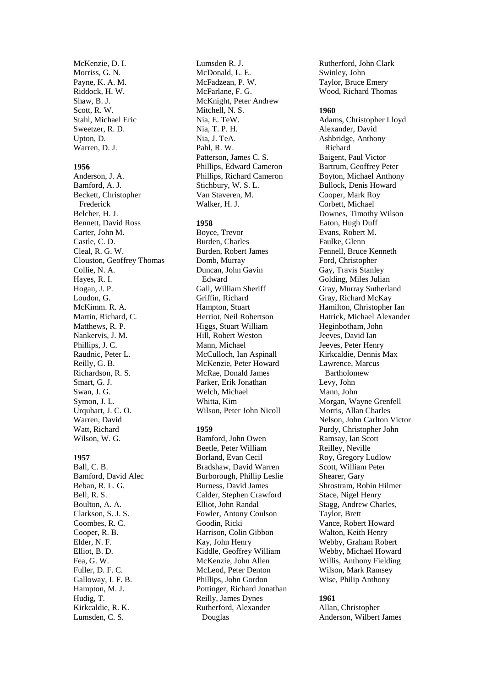McKenzie, D. I. Morriss, G. N. Payne, K. A. M. Riddock, H. W. Shaw, B. J. Scott, R. W. Stahl, Michael Eric Sweetzer, R. D. Upton, D. Warren, D. J.

### **1956**

Anderson, J. A. Bamford, A. J. Beckett, Christopher Frederick Belcher, H. J. Bennett, David Ross Carter, John M. Castle, C. D. Cleal, R. G. W. Clouston, Geoffrey Thomas Collie, N. A. Hayes, R. I. Hogan, J. P. Loudon, G. McKimm. R. A. Martin, Richard, C. Matthews, R. P. Nankervis, J. M. Phillips, J. C. Raudnic, Peter L. Reilly, G. B. Richardson, R. S. Smart, G. J. Swan, J. G. Symon, J. L. Urquhart, J. C. O. Warren, David Watt, Richard Wilson, W. G.

## **1957**

Ball, C. B. Bamford, David Alec Beban, R. L. G. Bell, R. S. Boulton, A. A. Clarkson, S. J. S. Coombes, R. C. Cooper, R. B. Elder, N. F. Elliot, B. D. Fea, G. W. Fuller, D. F. C. Galloway, I. F. B. Hampton, M. J. Hudig, T. Kirkcaldie, R. K. Lumsden, C. S.

Lumsden R. J. McDonald, L. E. McFadzean, P. W. McFarlane, F. G. McKnight, Peter Andrew Mitchell, N. S. Nia, E. TeW. Nia, T. P. H. Nia, J. TeA. Pahl, R. W. Patterson, James C. S. Phillips, Edward Cameron Phillips, Richard Cameron Stichbury, W. S. L. Van Staveren, M. Walker, H. J.

### **1958**

Boyce, Trevor Burden, Charles Burden, Robert James Domb, Murray Duncan, John Gavin Edward Gall, William Sheriff Griffin, Richard Hampton, Stuart Herriot, Neil Robertson Higgs, Stuart William Hill, Robert Weston Mann, Michael McCulloch, Ian Aspinall McKenzie, Peter Howard McRae, Donald James Parker, Erik Jonathan Welch, Michael Whitta, Kim Wilson, Peter John Nicoll

# **1959**

Bamford, John Owen Beetle, Peter William Borland, Evan Cecil Bradshaw, David Warren Burborough, Phillip Leslie Burness, David James Calder, Stephen Crawford Elliot, John Randal Fowler, Antony Coulson Goodin, Ricki Harrison, Colin Gibbon Kay, John Henry Kiddle, Geoffrey William McKenzie, John Allen McLeod, Peter Denton Phillips, John Gordon Pottinger, Richard Jonathan Reilly, James Dynes Rutherford, Alexander Douglas

Rutherford, John Clark Swinley, John Taylor, Bruce Emery Wood, Richard Thomas

#### **1960**

Adams, Christopher Lloyd Alexander, David Ashbridge, Anthony Richard Baigent, Paul Victor Bartrum, Geoffrey Peter Boyton, Michael Anthony Bullock, Denis Howard Cooper, Mark Roy Corbett, Michael Downes, Timothy Wilson Eaton, Hugh Duff Evans, Robert M. Faulke, Glenn Fennell, Bruce Kenneth Ford, Christopher Gay, Travis Stanley Golding, Miles Julian Gray, Murray Sutherland Gray, Richard McKay Hamilton, Christopher Ian Hatrick, Michael Alexander Heginbotham, John Jeeves, David Ian Jeeves, Peter Henry Kirkcaldie, Dennis Max Lawrence, Marcus Bartholomew Levy, John Mann, John Morgan, Wayne Grenfell Morris, Allan Charles Nelson, John Carlton Victor Purdy, Christopher John Ramsay, Ian Scott Reilley, Neville Roy, Gregory Ludlow Scott, William Peter Shearer, Gary Shrostram, Robin Hilmer Stace, Nigel Henry Stagg, Andrew Charles, Taylor, Brett Vance, Robert Howard Walton, Keith Henry Webby, Graham Robert Webby, Michael Howard Willis, Anthony Fielding Wilson, Mark Ramsey Wise, Philip Anthony

### **1961**

Allan, Christopher Anderson, Wilbert James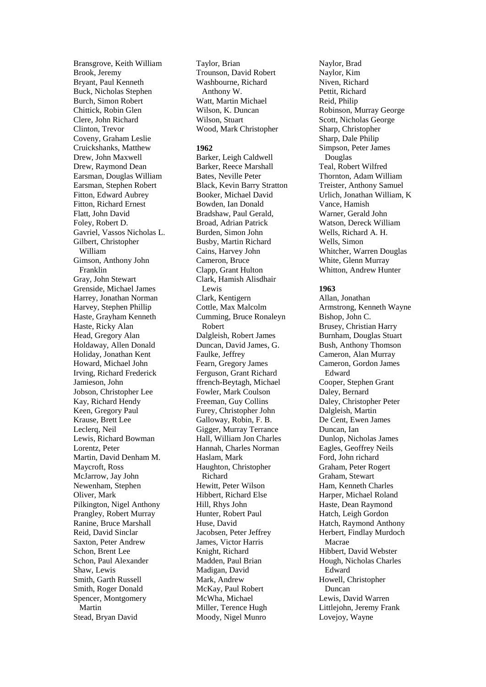Bransgrove, Keith William Brook, Jeremy Bryant, Paul Kenneth Buck, Nicholas Stephen Burch, Simon Robert Chittick, Robin Glen Clere, John Richard Clinton, Trevor Coveny, Graham Leslie Cruickshanks, Matthew Drew, John Maxwell Drew, Raymond Dean Earsman, Douglas William Earsman, Stephen Robert Fitton, Edward Aubrey Fitton, Richard Ernest Flatt, John David Foley, Robert D. Gavriel, Vassos Nicholas L. Gilbert, Christopher William Gimson, Anthony John Franklin Gray, John Stewart Grenside, Michael James Harrey, Jonathan Norman Harvey, Stephen Phillip Haste, Grayham Kenneth Haste, Ricky Alan Head, Gregory Alan Holdaway, Allen Donald Holiday, Jonathan Kent Howard, Michael John Irving, Richard Frederick Jamieson, John Jobson, Christopher Lee Kay, Richard Hendy Keen, Gregory Paul Krause, Brett Lee Leclerq, Neil Lewis, Richard Bowman Lorentz, Peter Martin, David Denham M. Maycroft, Ross McJarrow, Jay John Newenham, Stephen Oliver, Mark Pilkington, Nigel Anthony Prangley, Robert Murray Ranine, Bruce Marshall Reid, David Sinclar Saxton, Peter Andrew Schon, Brent Lee Schon, Paul Alexander Shaw, Lewis Smith, Garth Russell Smith, Roger Donald Spencer, Montgomery Martin Stead, Bryan David

Taylor, Brian Trounson, David Robert Washbourne, Richard Anthony W. Watt, Martin Michael Wilson, K. Duncan Wilson, Stuart Wood, Mark Christopher

### **1962**

Barker, Leigh Caldwell Barker, Reece Marshall Bates, Neville Peter Black, Kevin Barry Stratton Booker, Michael David Bowden, Ian Donald Bradshaw, Paul Gerald, Broad, Adrian Patrick Burden, Simon John Busby, Martin Richard Cains, Harvey John Cameron, Bruce Clapp, Grant Hulton Clark, Hamish Alisdhair Lewis Clark, Kentigern Cottle, Max Malcolm Cumming, Bruce Ronaleyn Robert Dalgleish, Robert James Duncan, David James, G. Faulke, Jeffrey Fearn, Gregory James Ferguson, Grant Richard ffrench-Beytagh, Michael Fowler, Mark Coulson Freeman, Guy Collins Furey, Christopher John Galloway, Robin, F. B. Gigger, Murray Terrance Hall, William Jon Charles Hannah, Charles Norman Haslam, Mark Haughton, Christopher Richard Hewitt, Peter Wilson Hibbert, Richard Else Hill, Rhys John Hunter, Robert Paul Huse, David Jacobsen, Peter Jeffrey James, Victor Harris Knight, Richard Madden, Paul Brian Madigan, David Mark, Andrew McKay, Paul Robert McWha, Michael Miller, Terence Hugh Moody, Nigel Munro

Naylor, Brad Naylor, Kim Niven, Richard Pettit, Richard Reid, Philip Robinson, Murray George Scott, Nicholas George Sharp, Christopher Sharp, Dale Philip Simpson, Peter James Douglas Teal, Robert Wilfred Thornton, Adam William Treister, Anthony Samuel Urlich, Jonathan William, K Vance, Hamish Warner, Gerald John Watson, Dereck William Wells, Richard A. H. Wells, Simon Whitcher, Warren Douglas White, Glenn Murray Whitton, Andrew Hunter

### **1963**

Allan, Jonathan Armstrong, Kenneth Wayne Bishop, John C. Brusey, Christian Harry Burnham, Douglas Stuart Bush, Anthony Thomson Cameron, Alan Murray Cameron, Gordon James Edward Cooper, Stephen Grant Daley, Bernard Daley, Christopher Peter Dalgleish, Martin De Cent, Ewen James Duncan, Ian Dunlop, Nicholas James Eagles, Geoffrey Neils Ford, John richard Graham, Peter Rogert Graham, Stewart Ham, Kenneth Charles Harper, Michael Roland Haste, Dean Raymond Hatch, Leigh Gordon Hatch, Raymond Anthony Herbert, Findlay Murdoch Macrae Hibbert, David Webster Hough, Nicholas Charles Edward Howell, Christopher Duncan Lewis, David Warren Littlejohn, Jeremy Frank Lovejoy, Wayne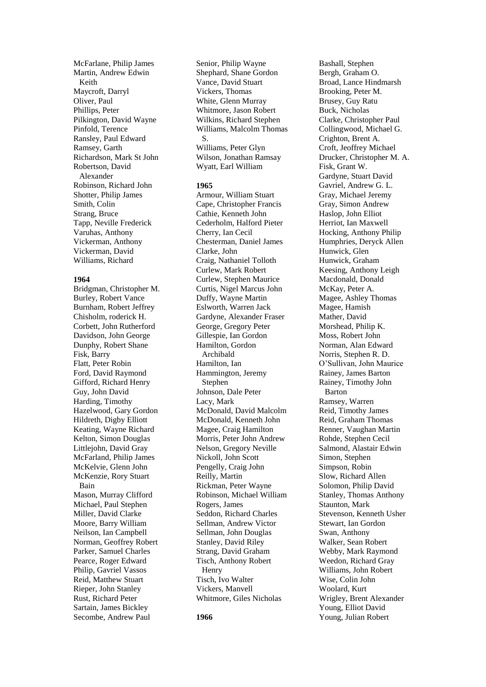McFarlane, Philip James Martin, Andrew Edwin Keith Maycroft, Darryl Oliver, Paul Phillips, Peter Pilkington, David Wayne Pinfold, Terence Ransley, Paul Edward Ramsey, Garth Richardson, Mark St John Robertson, David Alexander Robinson, Richard John Shotter, Philip James Smith, Colin Strang, Bruce Tapp, Neville Frederick Varuhas, Anthony Vickerman, Anthony Vickerman, David Williams, Richard

### **1964**

Bridgman, Christopher M. Burley, Robert Vance Burnham, Robert Jeffrey Chisholm, roderick H. Corbett, John Rutherford Davidson, John George Dunphy, Robert Shane Fisk, Barry Flatt, Peter Robin Ford, David Raymond Gifford, Richard Henry Guy, John David Harding, Timothy Hazelwood, Gary Gordon Hildreth, Digby Elliott Keating, Wayne Richard Kelton, Simon Douglas Littlejohn, David Gray McFarland, Philip James McKelvie, Glenn John McKenzie, Rory Stuart Bain Mason, Murray Clifford Michael, Paul Stephen Miller, David Clarke Moore, Barry William Neilson, Ian Campbell Norman, Geoffrey Robert Parker, Samuel Charles Pearce, Roger Edward Philip, Gavriel Vassos Reid, Matthew Stuart Rieper, John Stanley Rust, Richard Peter Sartain, James Bickley Secombe, Andrew Paul

Senior, Philip Wayne Shephard, Shane Gordon Vance, David Stuart Vickers, Thomas White, Glenn Murray Whitmore, Jason Robert Wilkins, Richard Stephen Williams, Malcolm Thomas S. Williams, Peter Glyn Wilson, Jonathan Ramsay Wyatt, Earl William

# **1965**

Armour, William Stuart Cape, Christopher Francis Cathie, Kenneth John Cederholm, Halford Pieter Cherry, Ian Cecil Chesterman, Daniel James Clarke, John Craig, Nathaniel Tolloth Curlew, Mark Robert Curlew, Stephen Maurice Curtis, Nigel Marcus John Duffy, Wayne Martin Eslworth, Warren Jack Gardyne, Alexander Fraser George, Gregory Peter Gillespie, Ian Gordon Hamilton, Gordon Archibald Hamilton, Ian Hammington, Jeremy Stephen Johnson, Dale Peter Lacy, Mark McDonald, David Malcolm McDonald, Kenneth John Magee, Craig Hamilton Morris, Peter John Andrew Nelson, Gregory Neville Nickoll, John Scott Pengelly, Craig John Reilly, Martin Rickman, Peter Wayne Robinson, Michael William Rogers, James Seddon, Richard Charles Sellman, Andrew Victor Sellman, John Douglas Stanley, David Riley Strang, David Graham Tisch, Anthony Robert Henry Tisch, Ivo Walter Vickers, Manvell Whitmore, Giles Nicholas

Bashall, Stephen Bergh, Graham O. Broad, Lance Hindmarsh Brooking, Peter M. Brusey, Guy Ratu Buck, Nicholas Clarke, Christopher Paul Collingwood, Michael G. Crighton, Brent A. Croft, Jeoffrey Michael Drucker, Christopher M. A. Fisk, Grant W. Gardyne, Stuart David Gavriel, Andrew G. L. Gray, Michael Jeremy Gray, Simon Andrew Haslop, John Elliot Herriot, Ian Maxwell Hocking, Anthony Philip Humphries, Deryck Allen Hunwick, Glen Hunwick, Graham Keesing, Anthony Leigh Macdonald, Donald McKay, Peter A. Magee, Ashley Thomas Magee, Hamish Mather, David Morshead, Philip K. Moss, Robert John Norman, Alan Edward Norris, Stephen R. D. O'Sullivan, John Maurice Rainey, James Barton Rainey, Timothy John Barton Ramsey, Warren Reid, Timothy James Reid, Graham Thomas Renner, Vaughan Martin Rohde, Stephen Cecil Salmond, Alastair Edwin Simon, Stephen Simpson, Robin Slow, Richard Allen Solomon, Philip David Stanley, Thomas Anthony Staunton, Mark Stevenson, Kenneth Usher Stewart, Ian Gordon Swan, Anthony Walker, Sean Robert Webby, Mark Raymond Weedon, Richard Gray Williams, John Robert Wise, Colin John Woolard, Kurt Wrigley, Brent Alexander Young, Elliot David Young, Julian Robert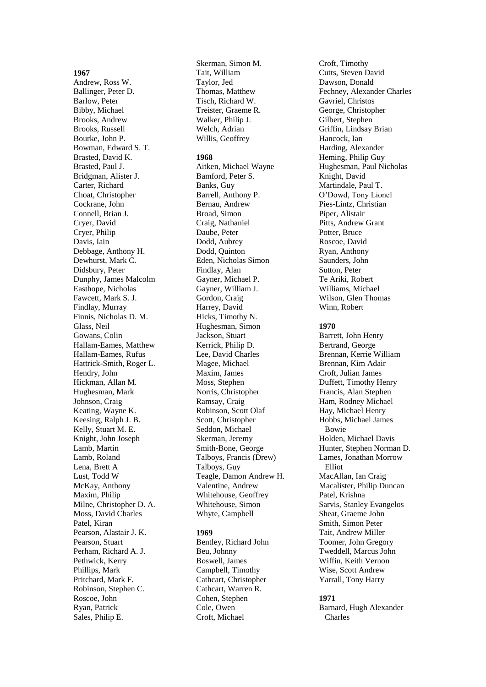### **1967**

Andrew, Ross W. Ballinger, Peter D. Barlow, Peter Bibby, Michael Brooks, Andrew Brooks, Russell Bourke, John P. Bowman, Edward S. T. Brasted, David K. Brasted, Paul J. Bridgman, Alister J. Carter, Richard Choat, Christopher Cockrane, John Connell, Brian J. Cryer, David Cryer, Philip Davis, Iain Debbage, Anthony H. Dewhurst, Mark C. Didsbury, Peter Dunphy, James Malcolm Easthope, Nicholas Fawcett, Mark S. J. Findlay, Murray Finnis, Nicholas D. M. Glass, Neil Gowans, Colin Hallam -Eames, Matthew Hallam -Eames, Rufus Hattrick -Smith, Roger L. Hendry, John Hickman, Allan M. Hughesman, Mark Johnson, Craig Keating, Wayne K. Keesing, Ralph J. B. Kelly, Stuart M. E. Knight, John Joseph Lamb, Martin Lamb, Roland Lena, Brett A Lust, Todd W McKay, Anthony Maxim, Philip Milne, Christopher D. A. Moss, David Charles Patel, Kiran Pearson, Alastair J. K. Pearson, Stuart Perham, Richard A. J. Pethwick, Kerry Phillips, Mark Pritchard, Mark F. Robinson, Stephen C. Roscoe, John Ryan, Patrick Sales, Philip E.

Skerman, Simon M. Tait, William Taylor, Jed Thomas, Matthew Tisch, Richard W. Treister, Graeme R. Walker, Philip J. Welch, Adrian Willis, Geoffrey

### **1968**

Aitken, Michael Wayne Bamford, Peter S. Banks, Guy Barrell, Anthony P. Bernau, Andrew Broad, Simon Craig, Nathaniel Daube, Peter Dodd, Aubrey Dodd, Quinton Eden, Nicholas Simon Findlay, Alan Gayner, Michael P. Gayner, William J. Gordon, Craig Harrey, David Hicks, Timothy N. Hughesman, Simon Jackson, Stuart Kerrick, Philip D. Lee, David Charles Magee, Michael Maxim, James Moss, Stephen Norris, Christopher Ramsay, Craig Robinson, Scott Olaf Scott, Christopher Seddon, Michael Skerman, Jeremy Smith -Bone, George Talboys, Francis (Drew) Talboys, Guy Teagle, Damon Andrew H. Valentine, Andrew Whitehouse, Geoffrey Whitehouse, Simon Whyte, Campbell

# **1969**

Bentley, Richard John Beu, Johnny Boswell, James Campbell, Timothy Cathcart, Christopher Cathcart, Warren R. Cohen, Stephen Cole, Owen Croft, Michael

Croft, Timothy Cutts, Steven David Dawson, Donald Fechney, Alexander Charles Gavriel, Christos George, Christopher Gilbert, Stephen Griffin, Lindsay Brian Hancock, Ian Harding, Alexander Heming, Philip Guy Hughesman, Paul Nicholas Knight, David Martindale, Paul T. O'Dowd, Tony Lionel Pies - Lintz, Christian Piper, Alistair Pitts, Andrew Grant Potter, Bruce Roscoe, David Ryan, Anthony Saunders, John Sutton, Peter Te Ariki, Robert Williams, Michael Wilson, Glen Thomas Winn, Robert

# **1970**

Barrett, John Henry Bertrand, George Brennan, Kerrie Willia m Brennan, Kim Adair Croft, Julian James Duffett, Timothy Henry Francis, Alan Stephen Ham, Rodney Michael Hay, Michael Henry Hobbs, Michael James Bowie Holden, Michael Davis Hunter, Stephen Norman D. Lames, Jonathan Morrow Elliot MacAllan, Ian Craig Macalister, Philip Duncan Patel, Krishna Sarvis, Stanley Evangelos Sheat, Graeme John Smith, Simon Peter Tait, Andrew Miller Toomer, John Gregory Tweddell, Marcus John Wiffin, Keith Vernon Wise, Scott Andrew Yarrall, Tony Harry

### **1971**

Barnard, Hugh Alexander Charles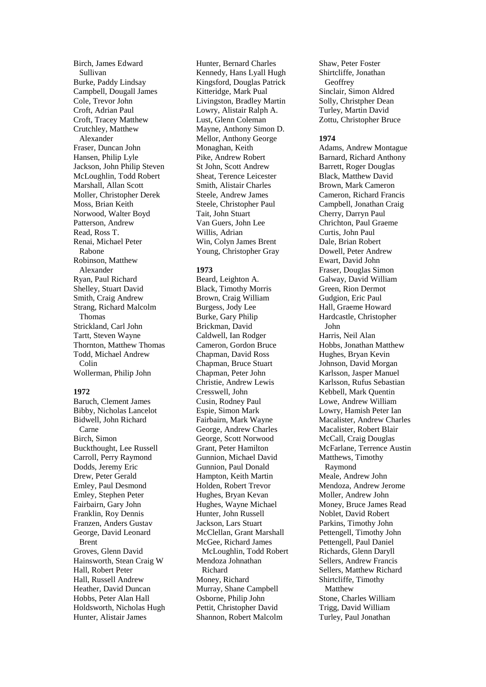Birch, James Edward Sullivan Burke, Paddy Lindsay Campbell, Dougall James Cole, Trevor John Croft, Adrian Paul Croft, Tracey Matthew Crutchley, Matthew Alexander Fraser, Duncan John Hansen, Philip Lyle Jackson, John Philip Steven McLoughlin, Todd Robert Marshall, Allan Scott Moller, Christopher Derek Moss, Brian Keith Norwood, Walter Boyd Patterson, Andrew Read, Ross T. Renai, Michael Peter Rabone Robinson, Matthew Alexander Ryan, Paul Richard Shelley, Stuart David Smith, Craig Andrew Strang, Richard Malcolm Thomas Strickland, Carl John Tartt, Steven Wayne Thornton, Matthew Thomas Todd, Michael Andrew Colin Wollerman, Philip John

## **1972**

Baruch, Clement James Bibby, Nicholas Lancelot Bidwell, John Richard Carne Birch, Simon Buckthought, Lee Russell Carroll, Perry Raymond Dodds, Jeremy Eric Drew, Peter Gerald Emley, Paul Desmond Emley, Stephen Peter Fairbairn, Gary John Franklin, Roy Dennis Franzen, Anders Gustav George, David Leonard Brent Groves, Glenn David Hainsworth, Stean Craig W Hall, Robert Peter Hall, Russell Andrew Heather, David Duncan Hobbs, Peter Alan Hall Holdsworth, Nicholas Hugh Hunter, Alistair James

Hunter, Bernard Charles Kennedy, Hans Lyall Hugh Kingsford, Douglas Patrick Kitteridge, Mark Pual Livingston, Bradley Martin Lowry, Alistair Ralph A. Lust, Glenn Coleman Mayne, Anthony Simon D. Mellor, Anthony George Monaghan, Keith Pike, Andrew Robert St John, Scott Andrew Sheat, Terence Leicester Smith, Alistair Charles Steele, Andrew James Steele, Christopher Paul Tait, John Stuart Van Guers, John Lee Willis, Adrian Win, Colyn James Brent Young, Christopher Gray

# **1973**

Beard, Leighton A. Black, Timothy Morris Brown, Craig William Burgess, Jody Lee Burke, Gary Philip Brickman, David Caldwell, Ian Rodger Cameron, Gordon Bruce Chapman, David Ross Chapman, Bruce Stuart Chapman, Peter John Christie, Andrew Lewis Cresswell, John Cusin, Rodney Paul Espie, Simon Mark Fairbairn, Mark Wayne George, Andrew Charles George, Scott Norwood Grant, Peter Hamilton Gunnion, Michael David Gunnion, Paul Donald Hampton, Keith Martin Holden, Robert Trevor Hughes, Bryan Kevan Hughes, Wayne Michael Hunter, John Russell Jackson, Lars Stuart McClellan, Grant Marshall McGee, Richard James McLoughlin, Todd Robert Mendoza Johnathan Richard Money, Richard Murray, Shane Campbell Osborne, Philip John Pettit, Christopher David Shannon, Robert Malcolm

Shaw, Peter Foster Shirtcliffe, Jonathan **Geoffrey** Sinclair, Simon Aldred Solly, Christpher Dean Turley, Martin David Zottu, Christopher Bruce

### **1974**

Adams, Andrew Montague Barnard, Richard Anthony Barrett, Roger Douglas Black, Matthew David Brown, Mark Cameron Cameron, Richard Francis Campbell, Jonathan Craig Cherry, Darryn Paul Chrichton, Paul Graeme Curtis, John Paul Dale, Brian Robert Dowell, Peter Andrew Ewart, David John Fraser, Douglas Simon Galway, David William Green, Rion Dermot Gudgion, Eric Paul Hall, Graeme Howard Hardcastle, Christopher John Harris, Neil Alan Hobbs, Jonathan Matthew Hughes, Bryan Kevin Johnson, David Morgan Karlsson, Jasper Manuel Karlsson, Rufus Sebastian Kebbell, Mark Quentin Lowe, Andrew William Lowry, Hamish Peter Ian Macalister, Andrew Charles Macalister, Robert Blair McCall, Craig Douglas McFarlane, Terrence Austin Matthews, Timothy Raymond Meale, Andrew John Mendoza, Andrew Jerome Moller, Andrew John Money, Bruce James Read Noblet, David Robert Parkins, Timothy John Pettengell, Timothy John Pettengell, Paul Daniel Richards, Glenn Daryll Sellers, Andrew Francis Sellers, Matthew Richard Shirtcliffe, Timothy Matthew Stone, Charles William Trigg, David William Turley, Paul Jonathan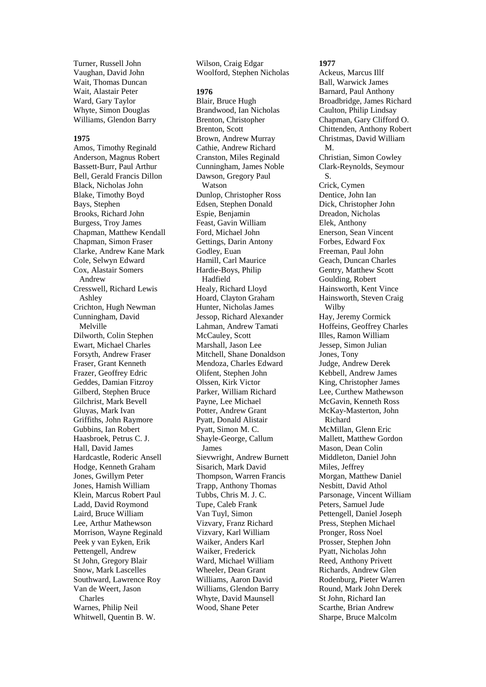Turner, Russell John Vaughan, David John Wait, Thomas Duncan Wait, Alastair Peter Ward, Gary Taylor Whyte, Simon Douglas Williams, Glendon Barry

## **1975**

Amos, Timothy Reginald Anderson, Magnus Robert Bassett-Burr, Paul Arthur Bell, Gerald Francis Dillon Black, Nicholas John Blake, Timothy Boyd Bays, Stephen Brooks, Richard John Burgess, Troy James Chapman, Matthew Kendall Chapman, Simon Fraser Clarke, Andrew Kane Mark Cole, Selwyn Edward Cox, Alastair Somers Andrew Cresswell, Richard Lewis Ashley Crichton, Hugh Newman Cunningham, David Melville Dilworth, Colin Stephen Ewart, Michael Charles Forsyth, Andrew Fraser Fraser, Grant Kenneth Frazer, Geoffrey Edric Geddes, Damian Fitzroy Gilberd, Stephen Bruce Gilchrist, Mark Bevell Gluyas, Mark Ivan Griffiths, John Raymore Gubbins, Ian Robert Haasbroek, Petrus C. J. Hall, David James Hardcastle, Roderic Ansell Hodge, Kenneth Graham Jones, Gwillym Peter Jones, Hamish William Klein, Marcus Robert Paul Ladd, David Roymond Laird, Bruce William Lee, Arthur Mathewson Morrison, Wayne Reginald Peek y van Eyken, Erik Pettengell, Andrew St John, Gregory Blair Snow, Mark Lascelles Southward, Lawrence Roy Van de Weert, Jason Charles Warnes, Philip Neil Whitwell, Quentin B. W.

Wilson, Craig Edgar Woolford, Stephen Nicholas

#### **1976**

Blair, Bruce Hugh Brandwood, Ian Nicholas Brenton, Christopher Brenton, Scott Brown, Andrew Murray Cathie, Andrew Richard Cranston, Miles Reginald Cunningham, James Noble Dawson, Gregory Paul Watson Dunlop, Christopher Ross Edsen, Stephen Donald Espie, Benjamin Feast, Gavin William Ford, Michael John Gettings, Darin Antony Godley, Euan Hamill, Carl Maurice Hardie-Boys, Philip Hadfield Healy, Richard Lloyd Hoard, Clayton Graham Hunter, Nicholas James Jessop, Richard Alexander Lahman, Andrew Tamati McCauley, Scott Marshall, Jason Lee Mitchell, Shane Donaldson Mendoza, Charles Edward Olifent, Stephen John Olssen, Kirk Victor Parker, William Richard Payne, Lee Michael Potter, Andrew Grant Pyatt, Donald Alistair Pyatt, Simon M. C. Shayle-George, Callum James Sievwright, Andrew Burnett Sisarich, Mark David Thompson, Warren Francis Trapp, Anthony Thomas Tubbs, Chris M. J. C. Tupe, Caleb Frank Van Tuyl, Simon Vizvary, Franz Richard Vizvary, Karl William Waiker, Anders Karl Waiker, Frederick Ward, Michael William Wheeler, Dean Grant Williams, Aaron David Williams, Glendon Barry Whyte, David Maunsell Wood, Shane Peter

# **1977**

Ackeus, Marcus Illf Ball, Warwick James Barnard, Paul Anthony Broadbridge, James Richard Caulton, Philip Lindsay Chapman, Gary Clifford O. Chittenden, Anthony Robert Christmas, David William M. Christian, Simon Cowley Clark-Reynolds, Seymour S. Crick, Cymen Dentice, John Ian Dick, Christopher John Dreadon, Nicholas Elek, Anthony Enerson, Sean Vincent Forbes, Edward Fox Freeman, Paul John Geach, Duncan Charles Gentry, Matthew Scott Goulding, Robert Hainsworth, Kent Vince Hainsworth, Steven Craig Wilby Hay, Jeremy Cormick Hoffeins, Geoffrey Charles Illes, Ramon William Jessep, Simon Julian Jones, Tony Judge, Andrew Derek Kebbell, Andrew James King, Christopher James Lee, Curthew Mathewson McGavin, Kenneth Ross McKay-Masterton, John Richard McMillan, Glenn Eric Mallett, Matthew Gordon Mason, Dean Colin Middleton, Daniel John Miles, Jeffrey Morgan, Matthew Daniel Nesbitt, David Athol Parsonage, Vincent William Peters, Samuel Jude Pettengell, Daniel Joseph Press, Stephen Michael Pronger, Ross Noel Prosser, Stephen John Pyatt, Nicholas John Reed, Anthony Privett Richards, Andrew Glen Rodenburg, Pieter Warren Round, Mark John Derek St John, Richard Ian Scarthe, Brian Andrew Sharpe, Bruce Malcolm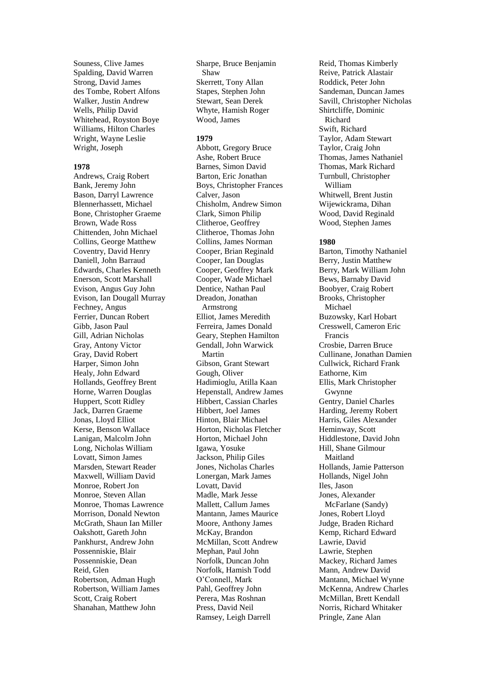Souness, Clive James Spalding, David Warren Strong, David James des Tombe, Robert Alfons Walker, Justin Andrew Wells, Philip David Whitehead, Royston Boye Williams, Hilton Charles Wright, Wayne Leslie Wright, Joseph

#### **1978**

Andrews, Craig Robert Bank, Jeremy John Bason, Darryl Lawrence Blennerhassett, Michael Bone, Christopher Graeme Brown, Wade Ross Chittenden, John Michael Collins, George Matthew Coventry, David Henry Daniell, John Barraud Edwards, Charles Kenneth Enerson, Scott Marshall Evison, Angus Guy John Evison, Ian Dougall Murray Fechney, Angus Ferrier, Duncan Robert Gibb, Jason Paul Gill, Adrian Nicholas Gray, Antony Victor Gray, David Robert Harper, Simon John Healy, John Edward Hollands, Geoffrey Brent Horne, Warren Douglas Huppert, Scott Ridley Jack, Darren Graeme Jonas, Lloyd Elliot Kerse, Benson Wallace Lanigan, Malcolm John Long, Nicholas William Lovatt, Simon James Marsden, Stewart Reader Maxwell, William David Monroe, Robert Jon Monroe, Steven Allan Monroe, Thomas Lawrence Morrison, Donald Newton McGrath, Shaun Ian Miller Oakshott, Gareth John Pankhurst, Andrew John Possenniskie, Blair Possenniskie, Dean Reid, Glen Robertson, Adman Hugh Robertson, William James Scott, Craig Robert Shanahan, Matthew John

Sharpe, Bruce Benjamin Shaw Skerrett, Tony Allan Stapes, Stephen John Stewart, Sean Derek Whyte, Hamish Roger Wood, James

# **1979**

Abbott, Gregory Bruce Ashe, Robert Bruce Barnes, Simon David Barton, Eric Jonathan Boys, Christopher Frances Calver, Jason Chisholm, Andrew Simon Clark, Simon Philip Clitheroe, Geoffrey Clitheroe, Thomas John Collins, James Norman Cooper, Brian Reginald Cooper, Ian Douglas Cooper, Geoffrey Mark Cooper, Wade Michael Dentice, Nathan Paul Dreadon, Jonathan Armstrong Elliot, James Meredith Ferreira, James Donald Geary, Stephen Hamilton Gendall, John Warwick Martin Gibson, Grant Stewart Gough, Oliver Hadimioglu, Atilla Kaan Hepenstall, Andrew James Hibbert, Cassian Charles Hibbert, Joel James Hinton, Blair Michael Horton, Nicholas Fletcher Horton, Michael John Igawa, Yosuke Jackson, Philip Giles Jones, Nicholas Charles Lonergan, Mark James Lovatt, David Madle, Mark Jesse Mallett, Callum James Mantann, James Maurice Moore, Anthony James McKay, Brandon McMillan, Scott Andrew Mephan, Paul John Norfolk, Duncan John Norfolk, Hamish Todd O'Connell, Mark Pahl, Geoffrey John Perera, Mas Roshnan Press, David Neil Ramsey, Leigh Darrell

Reid, Thomas Kimberly Reive, Patrick Alastair Roddick, Peter John Sandeman, Duncan James Savill, Christopher Nicholas Shirtcliffe, Dominic Richard Swift, Richard Taylor, Adam Stewart Taylor, Craig John Thomas, James Nathaniel Thomas, Mark Richard Turnbull, Christopher William Whitwell, Brent Justin Wijewickrama, Dihan Wood, David Reginald Wood, Stephen James

#### **1980**

Barton, Timothy Nathaniel Berry, Justin Matthew Berry, Mark William John Bews, Barnaby David Boobyer, Craig Robert Brooks, Christopher Michael Buzowsky, Karl Hobart Cresswell, Cameron Eric Francis Crosbie, Darren Bruce Cullinane, Jonathan Damien Cullwick, Richard Frank Eathorne, Kim Ellis, Mark Christopher Gwynne Gentry, Daniel Charles Harding, Jeremy Robert Harris, Giles Alexander Heminway, Scott Hiddlestone, David John Hill, Shane Gilmour Maitland Hollands, Jamie Patterson Hollands, Nigel John Iles, Jason Jones, Alexander McFarlane (Sandy) Jones, Robert Lloyd Judge, Braden Richard Kemp, Richard Edward Lawrie, David Lawrie, Stephen Mackey, Richard James Mann, Andrew David Mantann, Michael Wynne McKenna, Andrew Charles McMillan, Brett Kendall Norris, Richard Whitaker Pringle, Zane Alan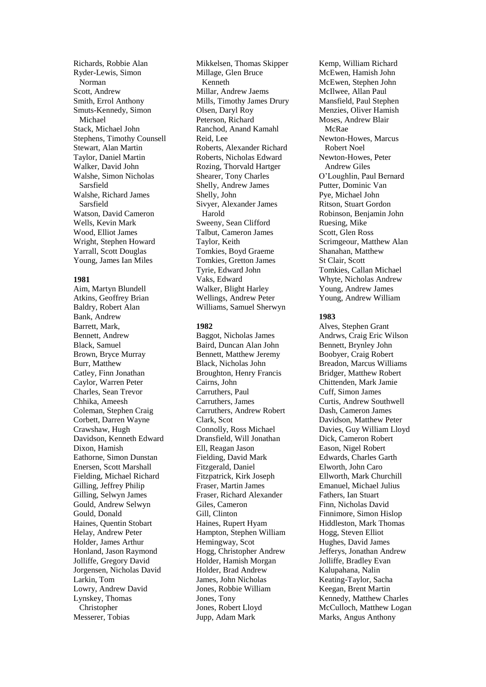Richards, Robbie Alan Ryder-Lewis, Simon Norman Scott, Andrew Smith, Errol Anthony Smuts-Kennedy, Simon Michael Stack, Michael John Stephens, Timothy Counsell Stewart, Alan Martin Taylor, Daniel Martin Walker, David John Walshe, Simon Nicholas Sarsfield Walshe, Richard James Sarsfield Watson, David Cameron Wells, Kevin Mark Wood, Elliot James Wright, Stephen Howard Yarrall, Scott Douglas Young, James Ian Miles

#### **1981**

Aim, Martyn Blundell Atkins, Geoffrey Brian Baldry, Robert Alan Bank, Andrew Barrett, Mark, Bennett, Andrew Black, Samuel Brown, Bryce Murray Burr, Matthew Catley, Finn Jonathan Caylor, Warren Peter Charles, Sean Trevor Chhika, Ameesh Coleman, Stephen Craig Corbett, Darren Wayne Crawshaw, Hugh Davidson, Kenneth Edward Dixon, Hamish Eathorne, Simon Dunstan Enersen, Scott Marshall Fielding, Michael Richard Gilling, Jeffrey Philip Gilling, Selwyn James Gould, Andrew Selwyn Gould, Donald Haines, Quentin Stobart Helay, Andrew Peter Holder, James Arthur Honland, Jason Raymond Jolliffe, Gregory David Jorgensen, Nicholas David Larkin, Tom Lowry, Andrew David Lynskey, Thomas Christopher Messerer, Tobias

Mikkelsen, Thomas Skipper Millage, Glen Bruce Kenneth Millar, Andrew Jaems Mills, Timothy James Drury Olsen, Daryl Roy Peterson, Richard Ranchod, Anand Kamahl Reid, Lee Roberts, Alexander Richard Roberts, Nicholas Edward Rozing, Thorvald Hartger Shearer, Tony Charles Shelly, Andrew James Shelly, John Sivyer, Alexander James Harold Sweeny, Sean Clifford Talbut, Cameron James Taylor, Keith Tomkies, Boyd Graeme Tomkies, Gretton James Tyrie, Edward John Vaks, Edward Walker, Blight Harley Wellings, Andrew Peter Williams, Samuel Sherwyn

#### **1982**

Baggot, Nicholas James Baird, Duncan Alan John Bennett, Matthew Jeremy Black, Nicholas John Broughton, Henry Francis Cairns, John Carruthers, Paul Carruthers, James Carruthers, Andrew Robert Clark, Scot Connolly, Ross Michael Dransfield, Will Jonathan Ell, Reagan Jason Fielding, David Mark Fitzgerald, Daniel Fitzpatrick, Kirk Joseph Fraser, Martin James Fraser, Richard Alexander Giles, Cameron Gill, Clinton Haines, Rupert Hyam Hampton, Stephen William Hemingway, Scot Hogg, Christopher Andrew Holder, Hamish Morgan Holder, Brad Andrew James, John Nicholas Jones, Robbie William Jones, Tony Jones, Robert Lloyd Jupp, Adam Mark

Kemp, William Richard McEwen, Hamish John McEwen, Stephen John McIlwee, Allan Paul Mansfield, Paul Stephen Menzies, Oliver Hamish Moses, Andrew Blair McRae Newton-Howes, Marcus Robert Noel Newton-Howes, Peter Andrew Giles O'Loughlin, Paul Bernard Putter, Dominic Van Pye, Michael John Ritson, Stuart Gordon Robinson, Benjamin John Ruesing, Mike Scott, Glen Ross Scrimgeour, Matthew Alan Shanahan, Matthew St Clair, Scott Tomkies, Callan Michael Whyte, Nicholas Andrew Young, Andrew James Young, Andrew William

# **1983**

Alves, Stephen Grant Andrws, Craig Eric Wilson Bennett, Brynley John Boobyer, Craig Robert Breadon, Marcus Williams Bridger, Matthew Robert Chittenden, Mark Jamie Cuff, Simon James Curtis, Andrew Southwell Dash, Cameron James Davidson, Matthew Peter Davies, Guy William Lloyd Dick, Cameron Robert Eason, Nigel Robert Edwards, Charles Garth Elworth, John Caro Ellworth, Mark Churchill Emanuel, Michael Julius Fathers, Ian Stuart Finn, Nicholas David Finnimore, Simon Hislop Hiddleston, Mark Thomas Hogg, Steven Elliot Hughes, David James Jefferys, Jonathan Andrew Jolliffe, Bradley Evan Kalupahana, Nalin Keating-Taylor, Sacha Keegan, Brent Martin Kennedy, Matthew Charles McCulloch, Matthew Logan Marks, Angus Anthony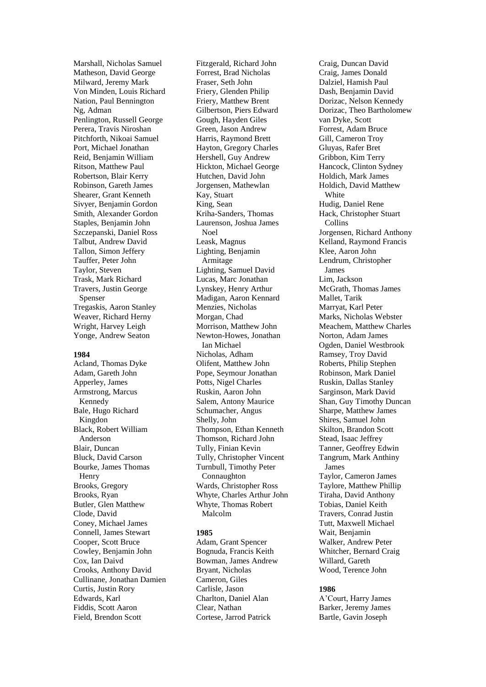Marshall, Nicholas Samuel Matheson, David George Milward, Jeremy Mark Von Minden, Louis Richard Nation, Paul Bennington Ng, Adman Penlington, Russell George Perera, Travis Niroshan Pitchforth, Nikoai Samuel Port, Michael Jonathan Reid, Benjamin William Ritson, Matthew Paul Robertson, Blair Kerry Robinson, Gareth James Shearer, Grant Kenneth Sivyer, Benjamin Gordon Smith, Alexander Gordon Staples, Benjamin John Szczepanski, Daniel Ross Talbut, Andrew David Tallon, Simon Jeffery Tauffer, Peter John Taylor, Steven Trask, Mark Richard Travers, Justin George Spenser Tregaskis, Aaron Stanley Weaver, Richard Herny Wright, Harvey Leigh Yonge, Andrew Seaton

#### **1984**

Acland, Thomas Dyke Adam, Gareth John Apperley, James Armstrong, Marcus Kennedy Bale, Hugo Richard Kingdon Black, Robert William Anderson Blair, Duncan Bluck, David Carson Bourke, James Thomas Henry Brooks, Gregory Brooks, Ryan Butler, Glen Matthew Clode, David Coney, Michael James Connell, James Stewart Cooper, Scott Bruce Cowley, Benjamin John Cox, Ian Daivd Crooks, Anthony David Cullinane, Jonathan Damien Curtis, Justin Rory Edwards, Karl Fiddis, Scott Aaron Field, Brendon Scott

Fitzgerald, Richard John Forrest, Brad Nicholas Fraser, Seth John Friery, Glenden Philip Friery, Matthew Brent Gilbertson, Piers Edward Gough, Hayden Giles Green, Jason Andrew Harris, Raymond Brett Hayton, Gregory Charles Hershell, Guy Andrew Hickton, Michael George Hutchen, David John Jorgensen, Mathewlan Kay, Stuart King, Sean Kriha-Sanders, Thomas Laurenson, Joshua James Noel Leask, Magnus Lighting, Benjamin Armitage Lighting, Samuel David Lucas, Marc Jonathan Lynskey, Henry Arthur Madigan, Aaron Kennard Menzies, Nicholas Morgan, Chad Morrison, Matthew John Newton-Howes, Jonathan Ian Michael Nicholas, Adham Olifent, Matthew John Pope, Seymour Jonathan Potts, Nigel Charles Ruskin, Aaron John Salem, Antony Maurice Schumacher, Angus Shelly, John Thompson, Ethan Kenneth Thomson, Richard John Tully, Finian Kevin Tully, Christopher Vincent Turnbull, Timothy Peter Connaughton Wards, Christopher Ross Whyte, Charles Arthur John Whyte, Thomas Robert Malcolm

### **1985**

Adam, Grant Spencer Bognuda, Francis Keith Bowman, James Andrew Bryant, Nicholas Cameron, Giles Carlisle, Jason Charlton, Daniel Alan Clear, Nathan Cortese, Jarrod Patrick

Craig, Duncan David Craig, James Donald Dalziel, Hamish Paul Dash, Benjamin David Dorizac, Nelson Kennedy Dorizac, Theo Bartholomew van Dyke, Scott Forrest, Adam Bruce Gill, Cameron Troy Gluyas, Rafer Bret Gribbon, Kim Terry Hancock, Clinton Sydney Holdich, Mark James Holdich, David Matthew White Hudig, Daniel Rene Hack, Christopher Stuart Collins Jorgensen, Richard Anthony Kelland, Raymond Francis Klee, Aaron John Lendrum, Christopher James Lim, Jackson McGrath, Thomas James Mallet, Tarik Marryat, Karl Peter Marks, Nicholas Webster Meachem, Matthew Charles Norton, Adam James Ogden, Daniel Westbrook Ramsey, Troy David Roberts, Philip Stephen Robinson, Mark Daniel Ruskin, Dallas Stanley Sarginson, Mark David Shan, Guy Timothy Duncan Sharpe, Matthew James Shires, Samuel John Skilton, Brandon Scott Stead, Isaac Jeffrey Tanner, Geoffrey Edwin Tangrum, Mark Anthiny James Taylor, Cameron James Taylore, Matthew Phillip Tiraha, David Anthony Tobias, Daniel Keith Travers, Conrad Justin Tutt, Maxwell Michael Wait, Benjamin Walker, Andrew Peter Whitcher, Bernard Craig Willard, Gareth Wood, Terence John

#### **1986**

A'Court, Harry James Barker, Jeremy James Bartle, Gavin Joseph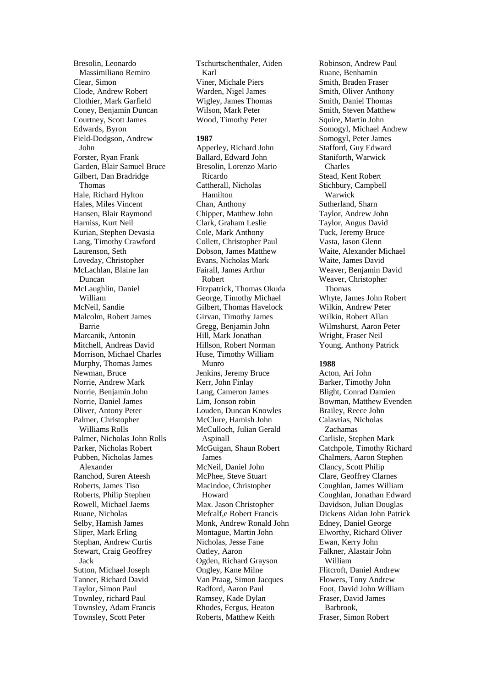Bresolin, Leonardo Massimiliano Remiro Clear, Simon Clode, Andrew Robert Clothier, Mark Garfield Coney, Benjamin Duncan Courtney, Scott James Edwards, Byron Field-Dodgson, Andrew John Forster, Ryan Frank Garden, Blair Samuel Bruce Gilbert, Dan Bradridge Thomas Hale, Richard Hylton Hales, Miles Vincent Hansen, Blair Raymond Harniss, Kurt Neil Kurian, Stephen Devasia Lang, Timothy Crawford Laurenson, Seth Loveday, Christopher McLachlan, Blaine Ian Duncan McLaughlin, Daniel William McNeil, Sandie Malcolm, Robert James Barrie Marcanik, Antonin Mitchell, Andreas David Morrison, Michael Charles Murphy, Thomas James Newman, Bruce Norrie, Andrew Mark Norrie, Benjamin John Norrie, Daniel James Oliver, Antony Peter Palmer, Christopher Williams Rolls Palmer, Nicholas John Rolls Parker, Nicholas Robert Pubben, Nicholas James Alexander Ranchod, Suren Ateesh Roberts, James Tiso Roberts, Philip Stephen Rowell, Michael Jaems Ruane, Nicholas Selby, Hamish James Sliper, Mark Erling Stephan, Andrew Curtis Stewart, Craig Geoffrey Jack Sutton, Michael Joseph Tanner, Richard David Taylor, Simon Paul Townley, richard Paul Townsley, Adam Francis Townsley, Scott Peter

Tschurtschenthaler, Aiden Karl Viner, Michale Piers Warden, Nigel James Wigley, James Thomas Wilson, Mark Peter Wood, Timothy Peter

**1987**

Apperley, Richard John Ballard, Edward John Bresolin, Lorenzo Mario Ricardo Cattherall, Nicholas Hamilton Chan, Anthony Chipper, Matthew John Clark, Graham Leslie Cole, Mark Anthony Collett, Christopher Paul Dobson, James Matthew Evans, Nicholas Mark Fairall, James Arthur Robert Fitzpatrick, Thomas Okuda George, Timothy Michael Gilbert, Thomas Havelock Girvan, Timothy James Gregg, Benjamin John Hill, Mark Jonathan Hillson, Robert Norman Huse, Timothy William Munro Jenkins, Jeremy Bruce Kerr, John Finlay Lang, Cameron James Lim, Jonson robin Louden, Duncan Knowles McClure, Hamish John McCulloch, Julian Gerald Aspinall McGuigan, Shaun Robert James McNeil, Daniel John McPhee, Steve Stuart Macindoe, Christopher Howard Max. Jason Christopher Mefcalf,e Robert Francis Monk, Andrew Ronald John Montague, Martin John Nicholas, Jesse Fane Oatley, Aaron Ogden, Richard Grayson Ongley, Kane Milne Van Praag, Simon Jacques Radford, Aaron Paul Ramsey, Kade Dylan Rhodes, Fergus, Heaton Roberts, Matthew Keith

Robinson, Andrew Paul Ruane, Benhamin Smith, Braden Fraser Smith, Oliver Anthony Smith, Daniel Thomas Smith, Steven Matthew Squire, Martin John Somogyl, Michael Andrew Somogyl, Peter James Stafford, Guy Edward Staniforth, Warwick Charles Stead, Kent Robert Stichbury, Campbell Warwick Sutherland, Sharn Taylor, Andrew John Taylor, Angus David Tuck, Jeremy Bruce Vasta, Jason Glenn Waite, Alexander Michael Waite, James David Weaver, Benjamin David Weaver, Christopher Thomas Whyte, James John Robert Wilkin, Andrew Peter Wilkin, Robert Allan Wilmshurst, Aaron Peter Wright, Fraser Neil Young, Anthony Patrick

### **1988**

Acton, Ari John Barker, Timothy John Blight, Conrad Damien Bowman, Matthew Evenden Brailey, Reece John Calavrias, Nicholas Zachamas Carlisle, Stephen Mark Catchpole, Timothy Richard Chalmers, Aaron Stephen Clancy, Scott Philip Clare, Geoffrey Clarnes Coughlan, James William Coughlan, Jonathan Edward Davidson, Julian Douglas Dickens Aidan John Patrick Edney, Daniel George Elworthy, Richard Oliver Ewan, Kerry John Falkner, Alastair John William Flitcroft, Daniel Andrew Flowers, Tony Andrew Foot, David John William Fraser, David James Barbrook, Fraser, Simon Robert